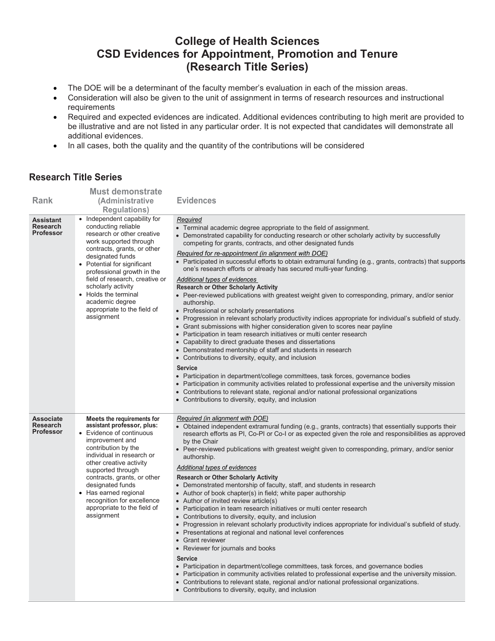## **College of Health Sciences CSD Evidences for Appointment, Promotion and Tenure (Research Title Series)**

- The DOE will be a determinant of the faculty member's evaluation in each of the mission areas.
- Consideration will also be given to the unit of assignment in terms of research resources and instructional requirements
- Required and expected evidences are indicated. Additional evidences contributing to high merit are provided to be illustrative and are not listed in any particular order. It is not expected that candidates will demonstrate all additional evidences.
- In all cases, both the quality and the quantity of the contributions will be considered

## **Research Title Series**

|                                                         | <b>Must demonstrate</b>                                                                                                                                                                                                                                                                                                                                                     |                                                                                                                                                                                                                                                                                                                                                                                                                                                                                                                                                                                                                                                                                                                                                                                                                                                                                                                                                                                                                                                                                                                                                                                                                                                                                                                                                                                                                                                                                                                                                             |
|---------------------------------------------------------|-----------------------------------------------------------------------------------------------------------------------------------------------------------------------------------------------------------------------------------------------------------------------------------------------------------------------------------------------------------------------------|-------------------------------------------------------------------------------------------------------------------------------------------------------------------------------------------------------------------------------------------------------------------------------------------------------------------------------------------------------------------------------------------------------------------------------------------------------------------------------------------------------------------------------------------------------------------------------------------------------------------------------------------------------------------------------------------------------------------------------------------------------------------------------------------------------------------------------------------------------------------------------------------------------------------------------------------------------------------------------------------------------------------------------------------------------------------------------------------------------------------------------------------------------------------------------------------------------------------------------------------------------------------------------------------------------------------------------------------------------------------------------------------------------------------------------------------------------------------------------------------------------------------------------------------------------------|
| <b>Rank</b>                                             | (Administrative<br><b>Regulations)</b>                                                                                                                                                                                                                                                                                                                                      | <b>Evidences</b>                                                                                                                                                                                                                                                                                                                                                                                                                                                                                                                                                                                                                                                                                                                                                                                                                                                                                                                                                                                                                                                                                                                                                                                                                                                                                                                                                                                                                                                                                                                                            |
| <b>Assistant</b><br><b>Research</b><br><b>Professor</b> | • Independent capability for<br>conducting reliable<br>research or other creative<br>work supported through<br>contracts, grants, or other<br>designated funds<br>• Potential for significant<br>professional growth in the<br>field of research, creative or<br>scholarly activity<br>• Holds the terminal<br>academic degree<br>appropriate to the field of<br>assignment | Required<br>• Terminal academic degree appropriate to the field of assignment.<br>• Demonstrated capability for conducting research or other scholarly activity by successfully<br>competing for grants, contracts, and other designated funds<br>Required for re-appointment (in alignment with DOE)<br>• Participated in successful efforts to obtain extramural funding (e.g., grants, contracts) that supports<br>one's research efforts or already has secured multi-year funding.<br>Additional types of evidences<br><b>Research or Other Scholarly Activity</b><br>• Peer-reviewed publications with greatest weight given to corresponding, primary, and/or senior<br>authorship.<br>• Professional or scholarly presentations<br>. Progression in relevant scholarly productivity indices appropriate for individual's subfield of study.<br>• Grant submissions with higher consideration given to scores near payline<br>• Participation in team research initiatives or multi center research<br>• Capability to direct graduate theses and dissertations<br>• Demonstrated mentorship of staff and students in research<br>• Contributions to diversity, equity, and inclusion<br><b>Service</b><br>• Participation in department/college committees, task forces, governance bodies<br>• Participation in community activities related to professional expertise and the university mission<br>• Contributions to relevant state, regional and/or national professional organizations<br>• Contributions to diversity, equity, and inclusion |
| <b>Associate</b><br><b>Research</b><br><b>Professor</b> | Meets the requirements for<br>assistant professor, plus:<br>• Evidence of continuous<br>improvement and<br>contribution by the<br>individual in research or<br>other creative activity<br>supported through<br>contracts, grants, or other<br>designated funds<br>• Has earned regional<br>recognition for excellence<br>appropriate to the field of<br>assignment          | Required (in alignment with DOE)<br>• Obtained independent extramural funding (e.g., grants, contracts) that essentially supports their<br>research efforts as PI, Co-PI or Co-I or as expected given the role and responsibilities as approved<br>by the Chair<br>• Peer-reviewed publications with greatest weight given to corresponding, primary, and/or senior<br>authorship.<br>Additional types of evidences<br><b>Research or Other Scholarly Activity</b><br>• Demonstrated mentorship of faculty, staff, and students in research<br>• Author of book chapter(s) in field; white paper authorship<br>• Author of invited review article(s)<br>• Participation in team research initiatives or multi center research<br>• Contributions to diversity, equity, and inclusion<br>• Progression in relevant scholarly productivity indices appropriate for individual's subfield of study.<br>• Presentations at regional and national level conferences<br>• Grant reviewer<br>• Reviewer for journals and books<br><b>Service</b><br>• Participation in department/college committees, task forces, and governance bodies<br>• Participation in community activities related to professional expertise and the university mission.<br>• Contributions to relevant state, regional and/or national professional organizations.<br>• Contributions to diversity, equity, and inclusion                                                                                                                                                                |